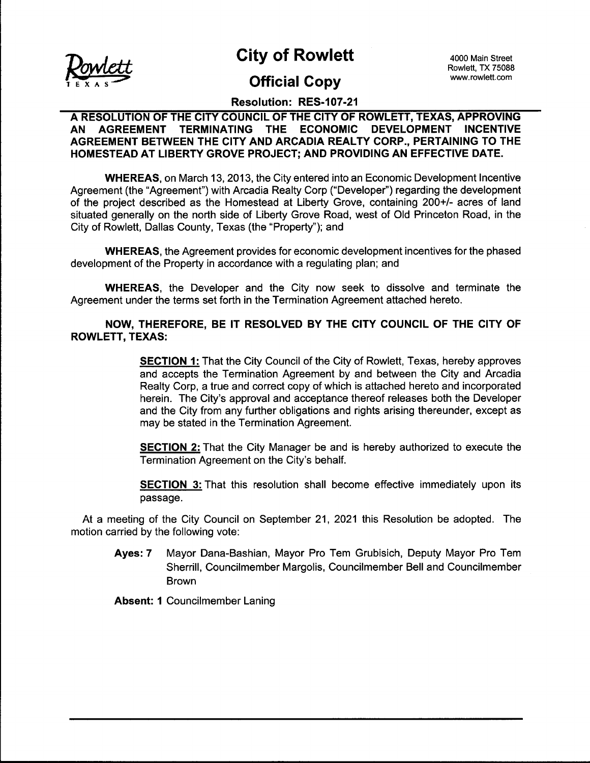

City of Rowlett 4000 Main Street

# **Official Copy** www.rowlett.com

Rowlett, TX 75088

# Resolution: RES-107-21

### A RESOLUTION OF THE CITY COUNCIL OF THE CITY OF ROWLETT, TEXAS, APPROVING AN AGREEMENT TERMINATING THE ECONOMIC DEVELOPMENT INCENTIVE AGREEMENT BETWEEN THE CITY AND ARCADIA REALTY CORP., PERTAINING TO THE HOMESTEAD AT LIBERTY GROVE PROJECT; AND PROVIDING AN EFFECTIVE DATE.

WHEREAS, on March 13, 2013, the City entered into an Economic Development Incentive Agreement (the "Agreement") with Arcadia Realty Corp ("Developer") regarding the development of the project described as the Homestead at Liberty Grove, containing 200+/- acres of land situated generally on the north side of Liberty Grove Road, west of Old Princeton Road, in the City of Rowlett, Dallas County, Texas ( the " Property"); and

WHEREAS, the Agreement provides for economic development incentives for the phased development of the Property in accordance with a regulating plan; and

WHEREAS, the Developer and the City now seek to dissolve and terminate the Agreement under the terms set forth in the Termination Agreement attached hereto.

## NOW, THEREFORE, BE IT RESOLVED BY THE CITY COUNCIL OF THE CITY OF ROWLETT, TEXAS:

**SECTION 1:** That the City Council of the City of Rowlett, Texas, hereby approves and accepts the Termination Agreement by and between the City and Arcadia Realty Corp, a true and correct copy of which is attached hereto and incorporated herein. The City's approval and acceptance thereof releases both the Developer and the City from any further obligations and rights arising thereunder, except as may be stated in the Termination Agreement.

SECTION 2: That the City Manager be and is hereby authorized to execute the Termination Agreement on the City's behalf.

SECTION 3: That this resolution shall become effective immediately upon its passage.

At a meeting of the City Council on September 21, 2021 this Resolution be adopted. The motion carried by the following vote:

Ayes: 7 Mayor Dana-Bashian, Mayor Pro Tem Grubisich, Deputy Mayor Pro Tem Sherrill, Councilmember Margolis, Councilmember Bell and Councilmember **Brown** 

Absent: 1 Councilmember Laning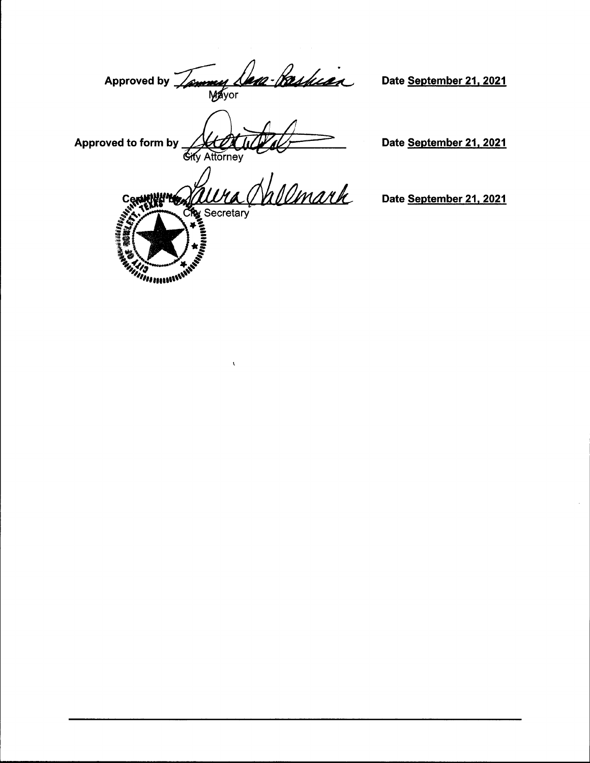Approved by Tammy Lem-Paskian

Date September 21, 2021

Approved to form by **Gity Attorney** 

*Allamander* 

Date September 21, 2021

soe<br>Vallmark Cę راني Secretary<br>په په

 $\overline{\mathbf{r}}$ 

Date September 21, 2021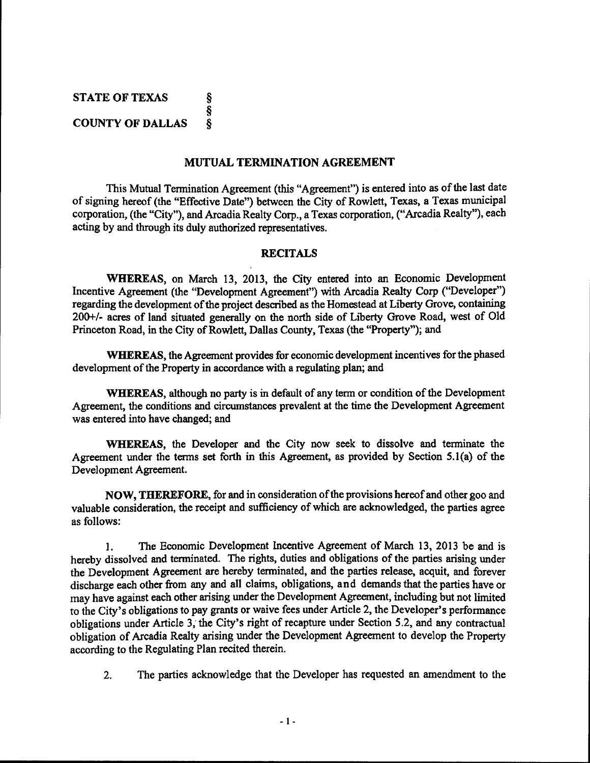STATE OF TEXAS ş § **COUNTY OF DALLAS**  $\hat{\mathbf{S}}$ 

#### MUTUAL TERMINATION AGREEMENT

This Mutual Termination Agreement (this "Agreement") is entered into as of the last date of signing hereof (the "Effective Date") between the City of Rowlett, Texas, a Texas municipal corporation, (the "City"), and Arcadia Realty Corp., a Texas corporation, ("Arcadia Realty"), each acting by and through its duly authorized representatives.

#### RECITALS

WHEREAS, on March 13, 2013, the City entered into an Economic Development Incentive Agreement (the "Development Agreement") with Arcadia Realty Corp ("Developer") regarding the development of the project described as the Homestead at Liberty Grove, containing 200+/- acres of land situated generally on the north side of Liberty Grove Road, west of Old Princeton Road, in the City of Rowlett, Dallas County, Texas (the "Property"); and

WHEREAS, the Agreement provides for economic development incentives for the phased development of the Property in accordance with a regulating plan; and

WHEREAS, although no party is in default of any term or condition of the Development Agreement, the conditions and circumstances prevalent at the time the Development Agreement was entered into have changed; and

WHEREAS, the Developer and the City now seek to dissolve and terminate the Agreement under the terms set forth in this Agreement, as provided by Section 5.1(a) of the Development Agreement.

NOW, THEREFORE, for and in consideration ofthe provisions hereof and other goo and valuable consideration, the receipt and sufficiency of which are acknowledged, the parties agree as follows:

1. The Economic Development Incentive Agreement of March 13, 2013 be and is hereby dissolved and terminated. The rights, duties and obligations of the parties arising under the Development Agreement are hereby terminated, and the parties release, acquit, and forever discharge each other from any and all claims, obligations, and demands that the parties have or may have against each other arising under the Development Agreement, including but not limited to the City's obligations to pay grants or waive fees under Article 2, the Developer's performance obligations under Article 3, the City's right of recapture under Section 5.2, and any contractual obligation of Arcadia Realty arising under the Development Agreement to develop the Property according to the Regulating Plan recited therein.

2. The parties acknowledge that the Developer has requested an amendment to the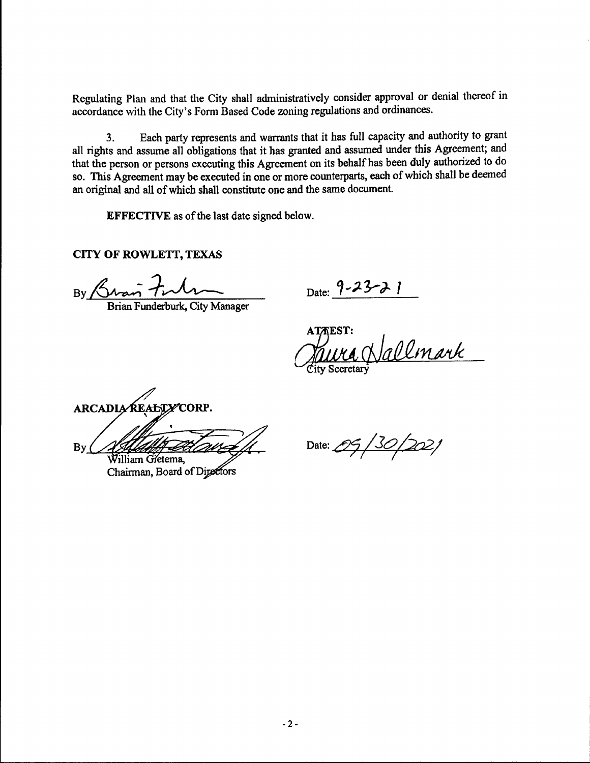Regulating Plan and that the City shall administratively consider approval or denial thereof in accordance with the City's Form Based Code zoning regulations and ordinances.

3. Each party represents and warrants that it has full capacity and authority to grant all rights and assume all obligations that it has granted and assumed under this Agreement; and that the person or persons executing this Agreement on its behalf has been duly authorized to do so. This Agreement may be executed in one or more counterparts, each of which shall be deemed an original and all of which shall constitute one and the same document.

EFFECTIVE as of the last date signed below.

CITY OF ROWLETT, TEXAS

By Bran  $f$ ulm Date: 9-23-21

Brian Funderburk, City Manager

**ATAEST:** allmark ity Secretary

ARCADIA REALTY CORP.  $Bv$ i<br>!} Villiam Gřetema

Chairman, Board of Directors

Date:  $0.99/30/202/$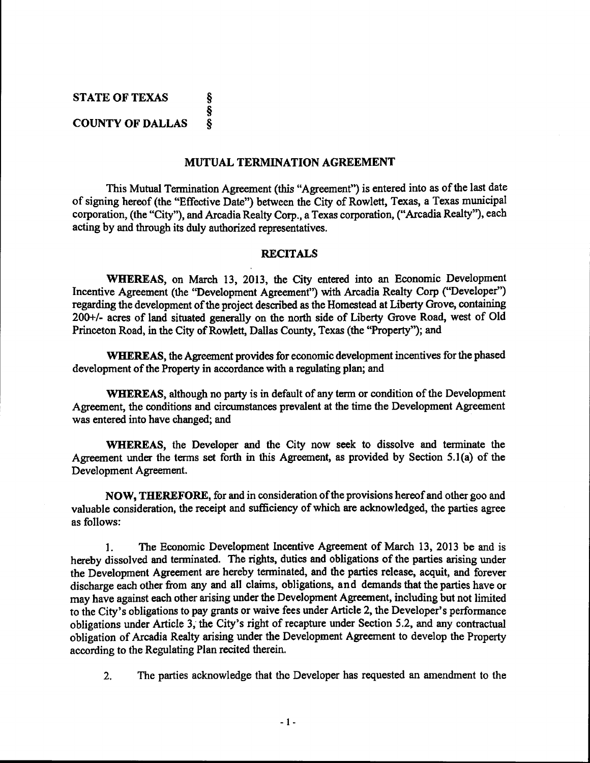STATE OF TEXAS ş § **COUNTY OF DALLAS** Ş

#### MUTUAL TERMINATION AGREEMENT

This Mutual Termination Agreement (this "Agreement") is entered into as of the last date of signing hereof (the "Effective Date") between the City of Rowlett, Texas, a Texas municipal corporation, (the "City"), and Arcadia Realty Corp., a Texas corporation, ("Arcadia Realty"), each acting by and through its duly authorized representatives.

#### RECITALS

WHEREAS, on March 13, 2013, the City entered into an Economic Development Incentive Agreement (the "Development Agreement") with Arcadia Realty Corp ("Developer") regarding the development of the project described as the Homestead at Liberty Grove, containing 200+/- acres of land situated generally on the north side of Liberty Grove Road, west of Old Princeton Road, in the City of Rowlett, Dallas County, Texas (the "Property"); and

WHEREAS, the Agreement provides for economic development incentives for the phased development of the Property in accordance with a regulating plan; and

WHEREAS, although no party is in default of any term or condition of the Development Agreement, the conditions and circumstances prevalent at the time the Development Agreement was entered into have changed; and

WHEREAS, the Developer and the City now seek to dissolve and terminate the Agreement under the terms set forth in this Agreement, as provided by Section  $5.1(a)$  of the Development Agreement.

NOW, THEREFORE, for and in consideration of the provisions hereof and other goo and valuable consideration, the receipt and sufficiency of which are acknowledged, the parties agree as follows:

1. The Economic Development Incentive Agreement of March 13, 2013 be and is hereby dissolved and terminated. The rights, duties and obligations of the parties arising under the Development Agreement are hereby terminated, and the parties release, acquit, and forever discharge each other from any and all claims, obligations, and demands that the parties have or may have against each other arising under the Development Agreement, including but not limited to the City's obligations to pay grants or waive fees under Article 2, the Developer's performance obligations under Article 3, the City's right of recapture under Section 5.2, and any contractual obligation of Arcadia Realty arising under the Development Agreement to develop the Property according to the Regulating Plan recited therein.

2. The parties acknowledge that the Developer has requested an amendment to the